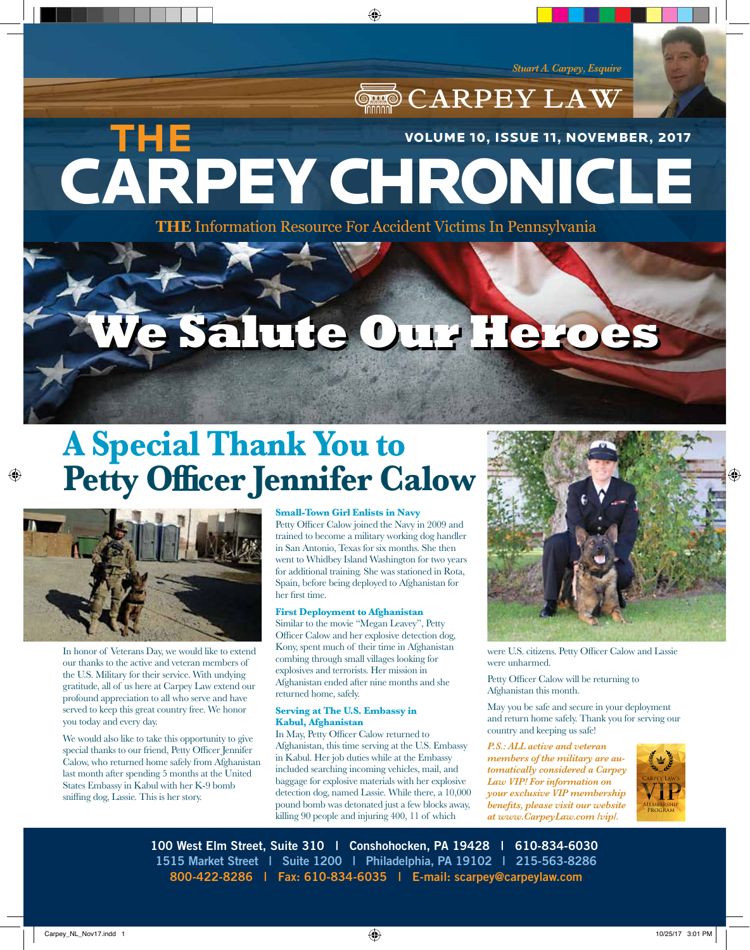CARPEY LAW

# CARPEY CHRONICLE **THE**  VOLUME 10, ISSUE 11, NOVEMBER, 2017

♠

**THE** Information Resource For Accident Victims In Pennsylvania

# **We Salute Our Heroes We Salute Our Heroes**

# **A Special Thank You to Petty Officer Jennifer Calow**



⊕

In honor of Veterans Day, we would like to extend our thanks to the active and veteran members of the U.S. Military for their service. With undying gratitude, all of us here at Carpey Law extend our profound appreciation to all who serve and have served to keep this great country free. We honor you today and every day.

We would also like to take this opportunity to give special thanks to our friend, Petty Officer Jennifer Calow, who returned home safely from Afghanistan last month after spending 5 months at the United States Embassy in Kabul with her K-9 bomb sniffing dog, Lassie. This is her story.

**Small-Town Girl Enlists in Navy** Petty Officer Calow joined the Navy in 2009 and trained to become a military working dog handler in San Antonio, Texas for six months. She then went to Whidbey Island Washington for two years for additional training. She was stationed in Rota, Spain, before being deployed to Afghanistan for her first time.

#### **First Deployment to Afghanistan**

Similar to the movie "Megan Leavey", Petty Officer Calow and her explosive detection dog, Kony, spent much of their time in Afghanistan combing through small villages looking for explosives and terrorists. Her mission in Afghanistan ended after nine months and she returned home, safely.

#### **Serving at The U.S. Embassy in Kabul, Afghanistan**

In May, Petty Officer Calow returned to Afghanistan, this time serving at the U.S. Embassy in Kabul. Her job duties while at the Embassy included searching incoming vehicles, mail, and baggage for explosive materials with her explosive detection dog, named Lassie. While there, a 10,000 pound bomb was detonated just a few blocks away, killing 90 people and injuring 400, 11 of which



were U.S. citizens. Petty Officer Calow and Lassie were unharmed.

Petty Officer Calow will be returning to Afghanistan this month.

May you be safe and secure in your deployment and return home safely. Thank you for serving our country and keeping us safe!

*P.S.: ALL active and veteran members of the military are automatically considered a Carpey Law VIP! For information on your exclusive VIP membership benefits, please visit our website at www.CarpeyLaw.com /vip/.*



**100 West Elm Street, Suite 310 | Conshohocken, PA 19428 | 610-834-6030 1515 Market Street | Suite 1200 | Philadelphia, PA 19102 | 215-563-8286 800-422-8286 | Fax: 610-834-6035 | E-mail: scarpey@carpeylaw.com**

 $\langle\clubsuit\rangle$  and the carpey\_NL\_Nov17.indd 1 10/25/17 3:01 PM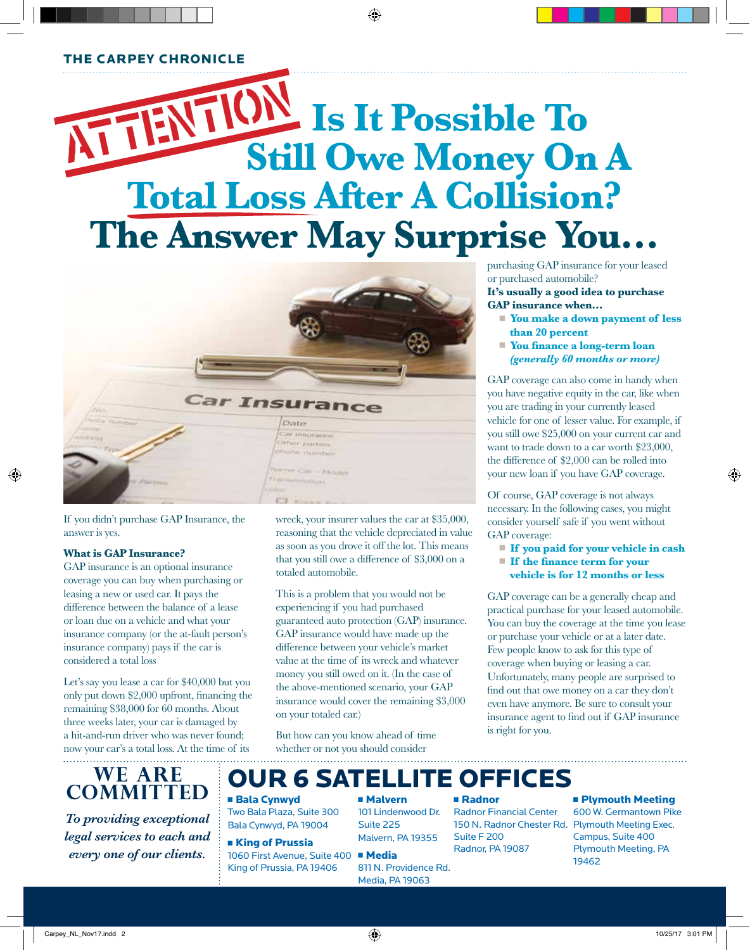#### THE CARPEY CHRONICLE

# $\frac{1}{2}$  Is It Possible To **Still Owe Money On A Total Loss After A Collision? The Answer May Surprise You…**

♠



If you didn't purchase GAP Insurance, the answer is yes.

#### **What is GAP Insurance?**

⊕

GAP insurance is an optional insurance coverage you can buy when purchasing or leasing a new or used car. It pays the difference between the balance of a lease or loan due on a vehicle and what your insurance company (or the at-fault person's insurance company) pays if the car is considered a total loss

Let's say you lease a car for \$40,000 but you only put down \$2,000 upfront, financing the remaining \$38,000 for 60 months. About three weeks later, your car is damaged by a hit-and-run driver who was never found; now your car's a total loss. At the time of its

wreck, your insurer values the car at \$35,000, reasoning that the vehicle depreciated in value as soon as you drove it off the lot. This means that you still owe a difference of \$3,000 on a totaled automobile.

This is a problem that you would not be experiencing if you had purchased guaranteed auto protection (GAP) insurance. GAP insurance would have made up the difference between your vehicle's market value at the time of its wreck and whatever money you still owed on it. (In the case of the above-mentioned scenario, your GAP insurance would cover the remaining \$3,000 on your totaled car.)

But how can you know ahead of time whether or not you should consider

purchasing GAP insurance for your leased or purchased automobile?

**It's usually a good idea to purchase GAP insurance when…**

- You make a down payment of less  **than 20 percent**
- **Nou finance a long-term loan**  *(generally 60 months or more)*

GAP coverage can also come in handy when you have negative equity in the car, like when you are trading in your currently leased vehicle for one of lesser value. For example, if you still owe \$25,000 on your current car and want to trade down to a car worth \$23,000, the difference of \$2,000 can be rolled into your new loan if you have GAP coverage.

Of course, GAP coverage is not always necessary. In the following cases, you might consider yourself safe if you went without GAP coverage:

- <sup>n</sup> **If you paid for your vehicle in cash**
- **If the finance term for your**
- **vehicle is for 12 months or less**

GAP coverage can be a generally cheap and practical purchase for your leased automobile. You can buy the coverage at the time you lease or purchase your vehicle or at a later date. Few people know to ask for this type of coverage when buying or leasing a car. Unfortunately, many people are surprised to find out that owe money on a car they don't even have anymore. Be sure to consult your insurance agent to find out if GAP insurance is right for you.

### **WE ARE COMMITTED**

*To providing exceptional legal services to each and every one of our clients.*

### OUR 6 SATELLITE OFFICES

#### **Bala Cynwyd** Two Bala Plaza, Suite 300

Bala Cynwyd, PA 19004

#### **Example 1 King of Prussia**

1060 First Avenue, Suite 400 · Media King of Prussia, PA 19406

<sup>n</sup> Malvern 101 Lindenwood Dr. Suite 225

#### <sup>n</sup> Radnor

Radnor Financial Center Suite F 200 Radnor, PA 19087

### **n** Plymouth Meeting 600 W. Germantown Pike

Malvern, PA 19355 Media, PA 19063

## 811 N. Providence Rd.

150 N. Radnor Chester Rd. Plymouth Meeting Exec. Campus, Suite 400 Plymouth Meeting, PA 19462

⊕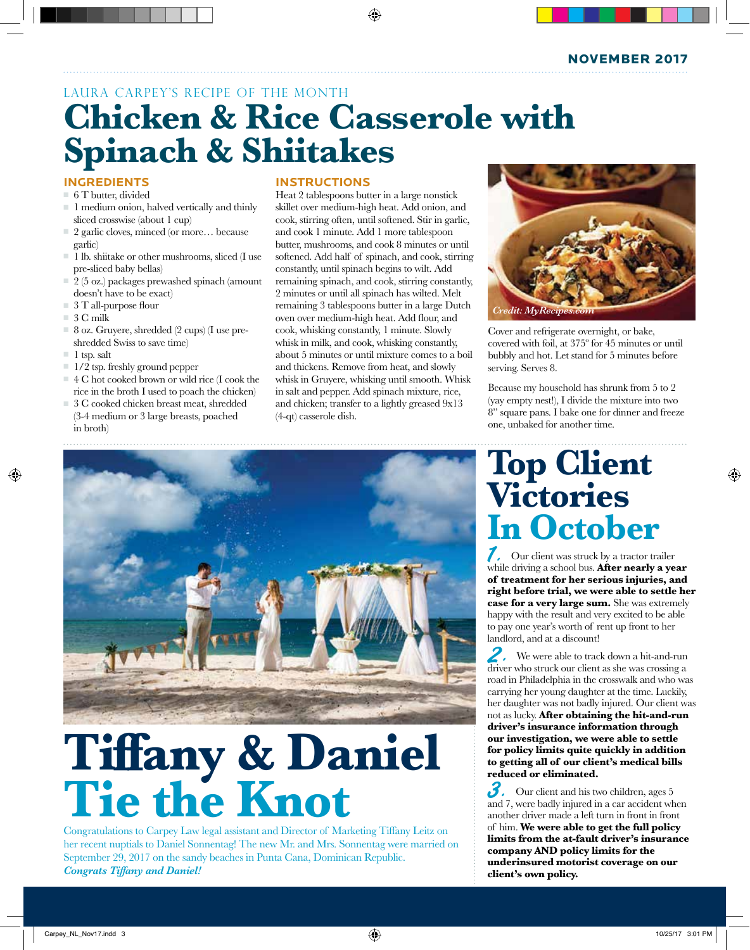NOVEMBER 2017

### LAURA CARPEY'S RECIPE OF THE MONTH **Chicken & Rice Casserole with Spinach & Shiitakes**

#### **INGREDIENTS**

- $= 6$  T butter, divided
- $\blacksquare$  1 medium onion, halved vertically and thinly sliced crosswise (about 1 cup)
- 2 garlic cloves, minced (or more... because garlic)
- $\blacksquare$  1 lb. shiitake or other mushrooms, sliced (I use pre-sliced baby bellas)
- $\equiv$  2 (5 oz.) packages prewashed spinach (amount doesn't have to be exact)
- $=$  3 T all-purpose flour
- $= 3$  C milk
- $= 8$  oz. Gruyere, shredded (2 cups) (I use preshredded Swiss to save time)
- $\blacksquare$  1 tsp. salt

↔

- $\Box$  1/2 tsp. freshly ground pepper
- <sup>n</sup> 4 C hot cooked brown or wild rice (I cook the rice in the broth I used to poach the chicken)
- $\Box$  3 C cooked chicken breast meat, shredded (3-4 medium or 3 large breasts, poached in broth)

#### **INSTRUCTIONS**

Heat 2 tablespoons butter in a large nonstick skillet over medium-high heat. Add onion, and cook, stirring often, until softened. Stir in garlic, and cook 1 minute. Add 1 more tablespoon butter, mushrooms, and cook 8 minutes or until softened. Add half of spinach, and cook, stirring constantly, until spinach begins to wilt. Add remaining spinach, and cook, stirring constantly, 2 minutes or until all spinach has wilted. Melt remaining 3 tablespoons butter in a large Dutch oven over medium-high heat. Add flour, and cook, whisking constantly, 1 minute. Slowly whisk in milk, and cook, whisking constantly, about 5 minutes or until mixture comes to a boil and thickens. Remove from heat, and slowly whisk in Gruyere, whisking until smooth. Whisk in salt and pepper. Add spinach mixture, rice, and chicken; transfer to a lightly greased 9x13 (4-qt) casserole dish.

⊕



Cover and refrigerate overnight, or bake, covered with foil, at 375º for 45 minutes or until bubbly and hot. Let stand for 5 minutes before serving. Serves 8.

Because my household has shrunk from 5 to 2 (yay empty nest!), I divide the mixture into two 8" square pans. I bake one for dinner and freeze one, unbaked for another time.

## **Top Client Victories In October** 1. Our client was struck by a tractor trailer

while driving a school bus. **After nearly a year of treatment for her serious injuries, and right before trial, we were able to settle her case for a very large sum.** She was extremely happy with the result and very excited to be able to pay one year's worth of rent up front to her landlord, and at a discount!

2. We were able to track down a hit-and-run driver who struck our client as she was crossing a road in Philadelphia in the crosswalk and who was carrying her young daughter at the time. Luckily, her daughter was not badly injured. Our client was not as lucky. **After obtaining the hit-and-run driver's insurance information through our investigation, we were able to settle for policy limits quite quickly in addition to getting all of our client's medical bills reduced or eliminated.** 

 $3.5$  Our client and his two children, ages 5 and 7, were badly injured in a car accident when another driver made a left turn in front in front of him. **We were able to get the full policy limits from the at-fault driver's insurance company AND policy limits for the underinsured motorist coverage on our client's own policy.** 



# **Tiffany & Daniel Tie the Knot**

Congratulations to Carpey Law legal assistant and Director of Marketing Tiffany Leitz on her recent nuptials to Daniel Sonnentag! The new Mr. and Mrs. Sonnentag were married on September 29, 2017 on the sandy beaches in Punta Cana, Dominican Republic. *Congrats Tiffany and Daniel!*

♠